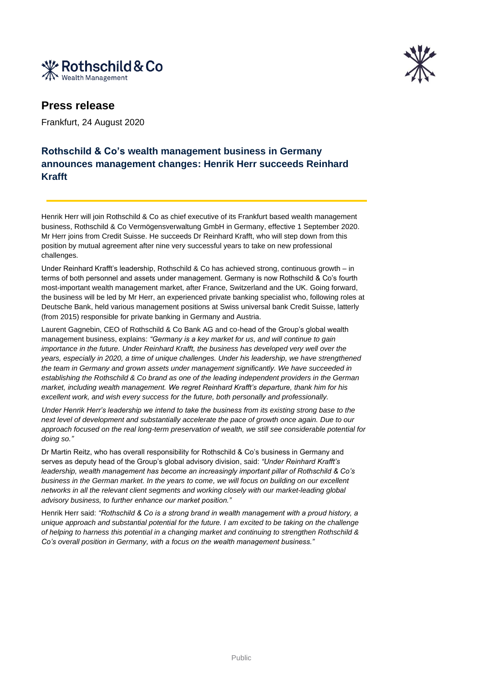



## **Press release**

Frankfurt, 24 August 2020

## **Rothschild & Co's wealth management business in Germany announces management changes: Henrik Herr succeeds Reinhard Krafft**

Henrik Herr will join Rothschild & Co as chief executive of its Frankfurt based wealth management business, Rothschild & Co Vermögensverwaltung GmbH in Germany, effective 1 September 2020. Mr Herr joins from Credit Suisse. He succeeds Dr Reinhard Krafft, who will step down from this position by mutual agreement after nine very successful years to take on new professional challenges.

Under Reinhard Krafft's leadership, Rothschild & Co has achieved strong, continuous growth – in terms of both personnel and assets under management. Germany is now Rothschild & Co's fourth most-important wealth management market, after France, Switzerland and the UK. Going forward, the business will be led by Mr Herr, an experienced private banking specialist who, following roles at Deutsche Bank, held various management positions at Swiss universal bank Credit Suisse, latterly (from 2015) responsible for private banking in Germany and Austria.

Laurent Gagnebin, CEO of Rothschild & Co Bank AG and co-head of the Group's global wealth management business, explains: *"Germany is a key market for us, and will continue to gain importance in the future. Under Reinhard Krafft, the business has developed very well over the years, especially in 2020, a time of unique challenges. Under his leadership, we have strengthened the team in Germany and grown assets under management significantly. We have succeeded in establishing the Rothschild & Co brand as one of the leading independent providers in the German market, including wealth management. We regret Reinhard Krafft's departure, thank him for his excellent work, and wish every success for the future, both personally and professionally.*

*Under Henrik Herr's leadership we intend to take the business from its existing strong base to the next level of development and substantially accelerate the pace of growth once again. Due to our approach focused on the real long-term preservation of wealth, we still see considerable potential for doing so."*

Dr Martin Reitz, who has overall responsibility for Rothschild & Co's business in Germany and serves as deputy head of the Group's global advisory division, said: *"Under Reinhard Krafft's leadership, wealth management has become an increasingly important pillar of Rothschild & Co's business in the German market. In the years to come, we will focus on building on our excellent networks in all the relevant client segments and working closely with our market-leading global advisory business, to further enhance our market position."*

Henrik Herr said: *"Rothschild & Co is a strong brand in wealth management with a proud history, a unique approach and substantial potential for the future. I am excited to be taking on the challenge of helping to harness this potential in a changing market and continuing to strengthen Rothschild & Co's overall position in Germany, with a focus on the wealth management business."*